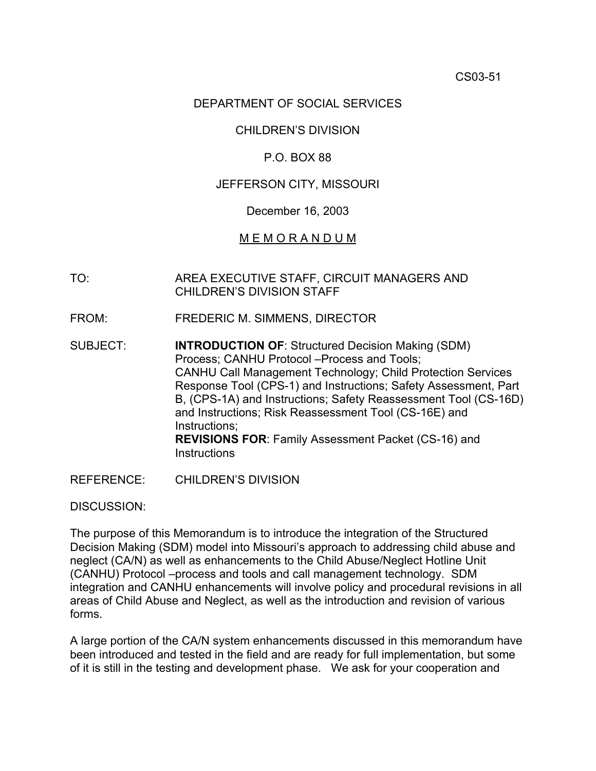# DEPARTMENT OF SOCIAL SERVICES

## CHILDREN'S DIVISION

## P.O. BOX 88

## JEFFERSON CITY, MISSOURI

### December 16, 2003

## M E M O R A N D U M

- TO: AREA EXECUTIVE STAFF, CIRCUIT MANAGERS AND CHILDREN'S DIVISION STAFF
- FROM: FREDERIC M. SIMMENS, DIRECTOR
- SUBJECT: **INTRODUCTION OF**: Structured Decision Making (SDM) Process; CANHU Protocol –Process and Tools; CANHU Call Management Technology; Child Protection Services Response Tool [\(CPS-1](http://www.oa.mo.gov/gs/form/fm_indiv.htm#childdiv)) and [Instructions](http://dss.missouri.gov/cd/info/memos/2003/cs51/CPS-1Inst.pdf); Safety Assessment, Part B, ([CPS-1A\)](http://dss.missouri.gov/cd/info/memos/2003/cs51/CPS-1A.pdf) and [Instructions](http://dss.missouri.gov/cd/info/memos/2003/cs51/CPS-1AInst.pdf); Safety Reassessment Tool [\(CS-16D](http://dss.missouri.gov/cd/info/memos/2003/cs51/cs16d.pdf)) and [Instructions;](http://dss.missouri.gov/cd/info/memos/2003/cs51/CS-16DInst.pdf) Risk Reassessment Tool [\(CS-16E](http://www.oa.mo.gov/gs/form/fm_indiv.htm#childdiv)) and [Instructions](http://dssweb/cs/memos/2003/cs51/CS-16EInst.pdf); **REVISIONS FOR**: Family Assessment Packet [\(CS-16](http://www.oa.mo.gov/gs/form/fm_indiv.htm#childdiv)) and **[Instructions](http://dss.missouri.gov/cd/info/memos/2003/cs51/CS-16Inst.pdf)**
- REFERENCE: CHILDREN'S DIVISION

#### DISCUSSION:

The purpose of this Memorandum is to introduce the integration of the Structured Decision Making (SDM) model into Missouri's approach to addressing child abuse and neglect (CA/N) as well as enhancements to the Child Abuse/Neglect Hotline Unit (CANHU) Protocol –process and tools and call management technology. SDM integration and CANHU enhancements will involve policy and procedural revisions in all areas of Child Abuse and Neglect, as well as the introduction and revision of various forms.

A large portion of the CA/N system enhancements discussed in this memorandum have been introduced and tested in the field and are ready for full implementation, but some of it is still in the testing and development phase. We ask for your cooperation and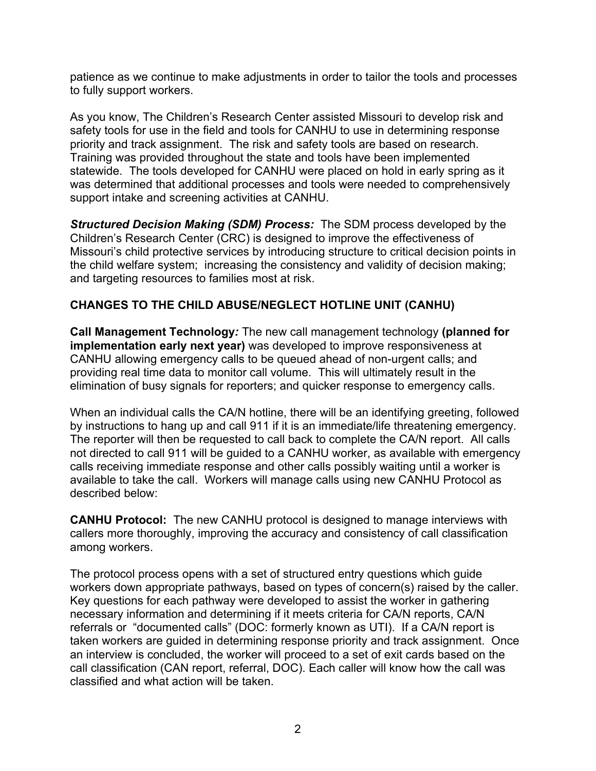patience as we continue to make adjustments in order to tailor the tools and processes to fully support workers.

As you know, The Children's Research Center assisted Missouri to develop risk and safety tools for use in the field and tools for CANHU to use in determining response priority and track assignment. The risk and safety tools are based on research. Training was provided throughout the state and tools have been implemented statewide. The tools developed for CANHU were placed on hold in early spring as it was determined that additional processes and tools were needed to comprehensively support intake and screening activities at CANHU.

*Structured Decision Making (SDM) Process:* The SDM process developed by the Children's Research Center (CRC) is designed to improve the effectiveness of Missouri's child protective services by introducing structure to critical decision points in the child welfare system; increasing the consistency and validity of decision making; and targeting resources to families most at risk.

# **CHANGES TO THE CHILD ABUSE/NEGLECT HOTLINE UNIT (CANHU)**

**Call Management Technology***:* The new call management technology **(planned for implementation early next year)** was developed to improve responsiveness at CANHU allowing emergency calls to be queued ahead of non-urgent calls; and providing real time data to monitor call volume. This will ultimately result in the elimination of busy signals for reporters; and quicker response to emergency calls.

When an individual calls the CA/N hotline, there will be an identifying greeting, followed by instructions to hang up and call 911 if it is an immediate/life threatening emergency. The reporter will then be requested to call back to complete the CA/N report. All calls not directed to call 911 will be guided to a CANHU worker, as available with emergency calls receiving immediate response and other calls possibly waiting until a worker is available to take the call. Workers will manage calls using new CANHU Protocol as described below:

**CANHU Protocol:** The new CANHU protocol is designed to manage interviews with callers more thoroughly, improving the accuracy and consistency of call classification among workers.

The protocol process opens with a set of structured entry questions which guide workers down appropriate pathways, based on types of concern(s) raised by the caller. Key questions for each pathway were developed to assist the worker in gathering necessary information and determining if it meets criteria for CA/N reports, CA/N referrals or "documented calls" (DOC: formerly known as UTI). If a CA/N report is taken workers are guided in determining response priority and track assignment. Once an interview is concluded, the worker will proceed to a set of exit cards based on the call classification (CAN report, referral, DOC). Each caller will know how the call was classified and what action will be taken.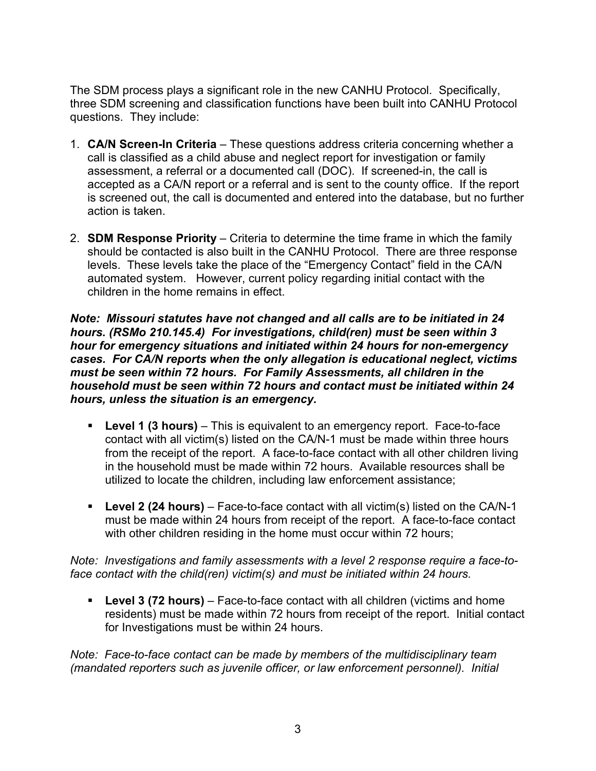The SDM process plays a significant role in the new CANHU Protocol. Specifically, three SDM screening and classification functions have been built into CANHU Protocol questions. They include:

- 1. **CA/N Screen-In Criteria** These questions address criteria concerning whether a call is classified as a child abuse and neglect report for investigation or family assessment, a referral or a documented call (DOC). If screened-in, the call is accepted as a CA/N report or a referral and is sent to the county office. If the report is screened out, the call is documented and entered into the database, but no further action is taken.
- 2. **SDM Response Priority** Criteria to determine the time frame in which the family should be contacted is also built in the CANHU Protocol. There are three response levels. These levels take the place of the "Emergency Contact" field in the CA/N automated system. However, current policy regarding initial contact with the children in the home remains in effect.

*Note: Missouri statutes have not changed and all calls are to be initiated in 24 hours. (RSMo 210.145.4) For investigations, child(ren) must be seen within 3 hour for emergency situations and initiated within 24 hours for non-emergency cases. For CA/N reports when the only allegation is educational neglect, victims must be seen within 72 hours. For Family Assessments, all children in the household must be seen within 72 hours and contact must be initiated within 24 hours, unless the situation is an emergency.* 

- **Level 1 (3 hours)** This is equivalent to an emergency report. Face-to-face contact with all victim(s) listed on the CA/N-1 must be made within three hours from the receipt of the report. A face-to-face contact with all other children living in the household must be made within 72 hours. Available resources shall be utilized to locate the children, including law enforcement assistance;
- **Level 2 (24 hours)** Face-to-face contact with all victim(s) listed on the CA/N-1 must be made within 24 hours from receipt of the report. A face-to-face contact with other children residing in the home must occur within 72 hours;

*Note: Investigations and family assessments with a level 2 response require a face-toface contact with the child(ren) victim(s) and must be initiated within 24 hours.* 

 **Level 3 (72 hours)** – Face-to-face contact with all children (victims and home residents) must be made within 72 hours from receipt of the report. Initial contact for Investigations must be within 24 hours.

*Note: Face-to-face contact can be made by members of the multidisciplinary team (mandated reporters such as juvenile officer, or law enforcement personnel). Initial*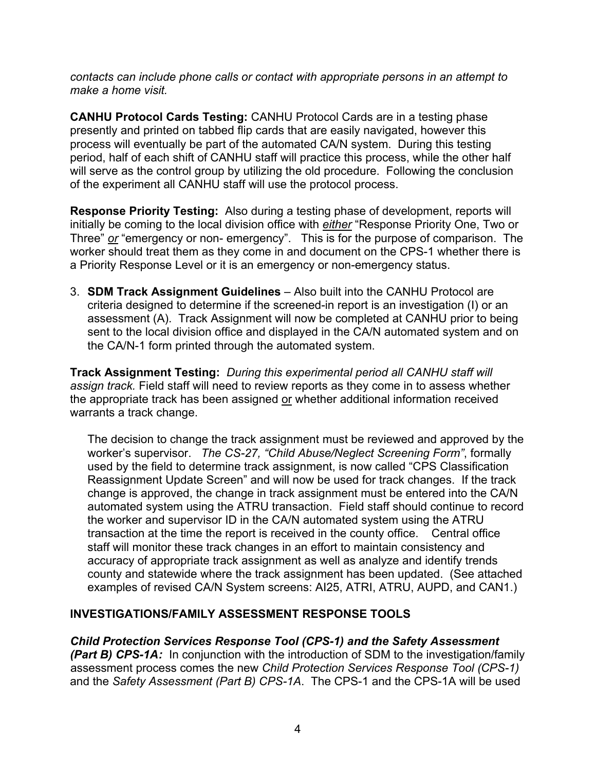*contacts can include phone calls or contact with appropriate persons in an attempt to make a home visit.* 

**CANHU Protocol Cards Testing:** CANHU Protocol Cards are in a testing phase presently and printed on tabbed flip cards that are easily navigated, however this process will eventually be part of the automated CA/N system. During this testing period, half of each shift of CANHU staff will practice this process, while the other half will serve as the control group by utilizing the old procedure. Following the conclusion of the experiment all CANHU staff will use the protocol process.

**Response Priority Testing:** Also during a testing phase of development, reports will initially be coming to the local division office with *either* "Response Priority One, Two or Three" *or* "emergency or non- emergency". This is for the purpose of comparison. The worker should treat them as they come in and document on the CPS-1 whether there is a Priority Response Level or it is an emergency or non-emergency status.

3. **SDM Track Assignment Guidelines** – Also built into the CANHU Protocol are criteria designed to determine if the screened-in report is an investigation (I) or an assessment (A). Track Assignment will now be completed at CANHU prior to being sent to the local division office and displayed in the CA/N automated system and on the CA/N-1 form printed through the automated system.

**Track Assignment Testing:** *During this experimental period all CANHU staff will assign track.* Field staff will need to review reports as they come in to assess whether the appropriate track has been assigned or whether additional information received warrants a track change.

The decision to change the track assignment must be reviewed and approved by the worker's supervisor. *The CS-27, "Child Abuse/Neglect Screening Form"*, formally used by the field to determine track assignment, is now called "CPS Classification Reassignment Update Screen" and will now be used for track changes. If the track change is approved, the change in track assignment must be entered into the CA/N automated system using the ATRU transaction. Field staff should continue to record the worker and supervisor ID in the CA/N automated system using the ATRU transaction at the time the report is received in the county office. Central office staff will monitor these track changes in an effort to maintain consistency and accuracy of appropriate track assignment as well as analyze and identify trends county and statewide where the track assignment has been updated. (See attached examples of revised CA/N System screens: [AI25,](http://dss.missouri.gov/cd/info/memos/2003/cs51/AI25.pdf) [ATRI,](http://dss.missouri.gov/cd/info/memos/2003/cs51/ATRI.pdf) [ATRU](http://dss.missouri.gov/cd/info/memos/2003/cs51/ATRU.pdf), [AUPD](http://dss.missouri.gov/cd/info/memos/2003/cs51/AUPD.pdf), and [CAN1](http://dss.missouri.gov/cd/info/memos/2003/cs51/CAN1.pdf).)

# **INVESTIGATIONS/FAMILY ASSESSMENT RESPONSE TOOLS**

# *Child Protection Services Response Tool [\(CPS-1](http://www.oa.mo.gov/gs/form/fm_indiv.htm#childdiv)) and the Safety Assessment*

*(Part B) [CPS-1A:](http://dss.missouri.gov/cd/info/memos/2003/cs51/CPS-1A.pdf)* In conjunction with the introduction of SDM to the investigation/family assessment process comes the new *Child Protection Services Response Tool [\(CPS-1](http://www.oa.mo.gov/gs/form/fm_indiv.htm#childdiv))* and the *Safety Assessment (Part B) [CPS-1A](http://dss.missouri.gov/cd/info/memos/2003/cs51/CPS-1A.pdf)*. The [CPS-1](http://www.oa.mo.gov/gs/form/fm_indiv.htm#childdiv) and the [CPS-1A](http://dss.missouri.gov/cd/info/memos/2003/cs51/CPS-1A.pdf) will be used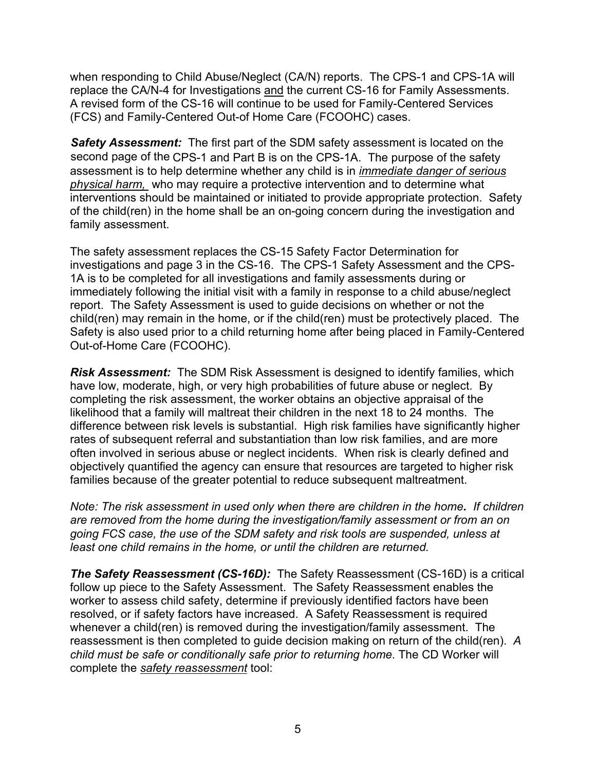when responding to Child Abuse/Neglect (CA/N) reports. The [CPS-1](http://www.oa.mo.gov/gs/form/fm_indiv.htm#childdiv) and [CPS-1A](http://dss.missouri.gov/cd/info/memos/2003/cs51/CPS-1A.pdf) will replace the CA/N-4 for Investigations and the current CS-16 for Family Assessments. A revised form of the [CS-16](http://www.oa.mo.gov/gs/form/fm_indiv.htm#childdiv) will continue to be used for Family-Centered Services (FCS) and Family-Centered Out-of Home Care (FCOOHC) cases.

*Safety Assessment:* The first part of the SDM safety assessment is located on the second page of the [CPS-1](http://www.oa.mo.gov/gs/form/fm_indiv.htm#childdiv) and Part B is on the [CPS-1A](http://dss.missouri.gov/cd/info/memos/2003/cs51/CPS-1A.pdf). The purpose of the safety assessment is to help determine whether any child is in *immediate danger of serious physical harm,* who may require a protective intervention and to determine what interventions should be maintained or initiated to provide appropriate protection. Safety of the child(ren) in the home shall be an on-going concern during the investigation and family assessment.

The safety assessment replaces the CS-15 Safety Factor Determination for investigations and page 3 in the [CS-16](http://www.oa.mo.gov/gs/form/fm_indiv.htm#childdiv). The [CPS-1](http://www.oa.mo.gov/gs/form/fm_indiv.htm#childdiv) Safety Assessment and the [CPS-](http://dss.missouri.gov/cd/info/memos/2003/cs51/CPS-1A.pdf)[1A](http://dss.missouri.gov/cd/info/memos/2003/cs51/CPS-1A.pdf) is to be completed for all investigations and family assessments during or immediately following the initial visit with a family in response to a child abuse/neglect report. The Safety Assessment is used to guide decisions on whether or not the child(ren) may remain in the home, or if the child(ren) must be protectively placed. The Safety is also used prior to a child returning home after being placed in Family-Centered Out-of-Home Care (FCOOHC).

*Risk Assessment:* The SDM Risk Assessment is designed to identify families, which have low, moderate, high, or very high probabilities of future abuse or neglect. By completing the risk assessment, the worker obtains an objective appraisal of the likelihood that a family will maltreat their children in the next 18 to 24 months. The difference between risk levels is substantial. High risk families have significantly higher rates of subsequent referral and substantiation than low risk families, and are more often involved in serious abuse or neglect incidents. When risk is clearly defined and objectively quantified the agency can ensure that resources are targeted to higher risk families because of the greater potential to reduce subsequent maltreatment.

*Note: The risk assessment in used only when there are children in the home. If children are removed from the home during the investigation/family assessment or from an on going FCS case, the use of the SDM safety and risk tools are suspended, unless at least one child remains in the home, or until the children are returned.* 

*The Safety Reassessment [\(CS-16D](http://dss.missouri.gov/cd/info/memos/2003/cs51/cs16d.pdf)):* The Safety Reassessment ([CS-16D](http://dss.missouri.gov/cd/info/memos/2003/cs51/cs16d.pdf)) is a critical follow up piece to the Safety Assessment. The Safety Reassessment enables the worker to assess child safety, determine if previously identified factors have been resolved, or if safety factors have increased. A Safety Reassessment is required whenever a child(ren) is removed during the investigation/family assessment. The reassessment is then completed to guide decision making on return of the child(ren). *A child must be safe or conditionally safe prior to returning home*. The CD Worker will complete the *safety reassessment* tool: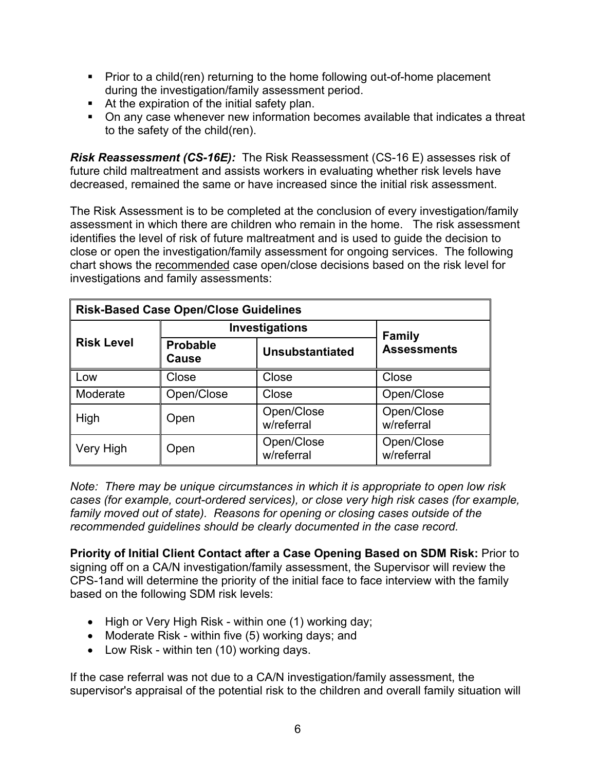- **Prior to a child(ren) returning to the home following out-of-home placement** during the investigation/family assessment period.
- At the expiration of the initial safety plan.
- On any case whenever new information becomes available that indicates a threat to the safety of the child(ren).

*Risk Reassessment [\(CS-16E](http://www.oa.mo.gov/gs/form/fm_indiv.htm#childdiv)):* The Risk Reassessment [\(CS-16 E](http://www.oa.mo.gov/gs/form/fm_indiv.htm#childdiv)) assesses risk of future child maltreatment and assists workers in evaluating whether risk levels have decreased, remained the same or have increased since the initial risk assessment.

The Risk Assessment is to be completed at the conclusion of every investigation/family assessment in which there are children who remain in the home. The risk assessment identifies the level of risk of future maltreatment and is used to guide the decision to close or open the investigation/family assessment for ongoing services. The following chart shows the recommended case open/close decisions based on the risk level for investigations and family assessments:

| <b>Risk-Based Case Open/Close Guidelines</b> |                          |                          |                          |  |
|----------------------------------------------|--------------------------|--------------------------|--------------------------|--|
| <b>Risk Level</b>                            | Investigations           |                          | <b>Family</b>            |  |
|                                              | <b>Probable</b><br>Cause | <b>Unsubstantiated</b>   | <b>Assessments</b>       |  |
| Low                                          | Close                    | Close                    | Close                    |  |
| Moderate                                     | Open/Close               | Close                    | Open/Close               |  |
| High                                         | Open                     | Open/Close<br>w/referral | Open/Close<br>w/referral |  |
| Very High                                    | Open                     | Open/Close<br>w/referral | Open/Close<br>w/referral |  |

*Note: There may be unique circumstances in which it is appropriate to open low risk cases (for example, court-ordered services), or close very high risk cases (for example, family moved out of state). Reasons for opening or closing cases outside of the recommended guidelines should be clearly documented in the case record.* 

**Priority of Initial Client Contact after a Case Opening Based on SDM Risk:** Prior to signing off on a CA/N investigation/family assessment, the Supervisor will review the [CPS-1](http://www.oa.mo.gov/gs/form/fm_indiv.htm#childdiv)and will determine the priority of the initial face to face interview with the family based on the following SDM risk levels:

- High or Very High Risk within one (1) working day;
- Moderate Risk within five (5) working days; and
- Low Risk within ten (10) working days.

If the case referral was not due to a CA/N investigation/family assessment, the supervisor's appraisal of the potential risk to the children and overall family situation will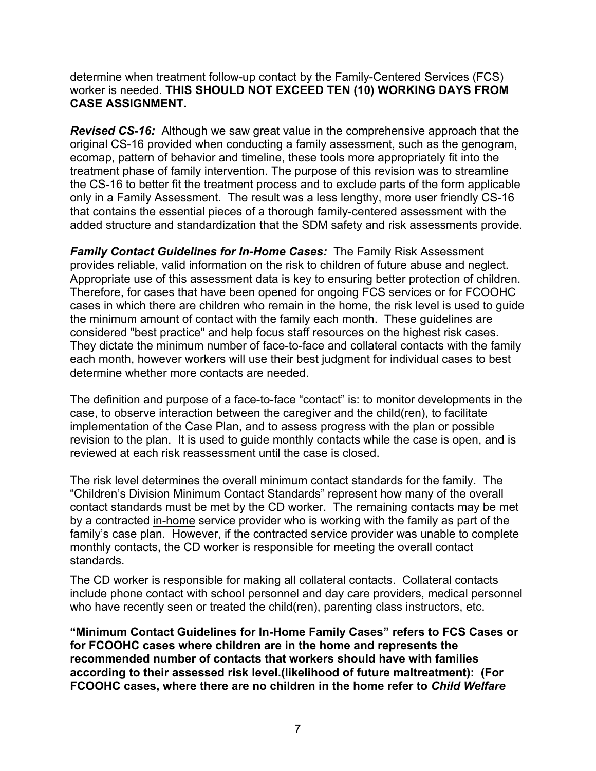determine when treatment follow-up contact by the Family-Centered Services (FCS) worker is needed. **THIS SHOULD NOT EXCEED TEN (10) WORKING DAYS FROM CASE ASSIGNMENT.** 

*[Revised CS-16](http://www.oa.mo.gov/gs/form/fm_indiv.htm#childdiv):* Although we saw great value in the comprehensive approach that the original CS-16 provided when conducting a family assessment, such as the genogram, ecomap, pattern of behavior and timeline, these tools more appropriately fit into the treatment phase of family intervention. The purpose of this revision was to streamline the [CS-16](http://www.oa.mo.gov/gs/form/fm_indiv.htm#childdiv) to better fit the treatment process and to exclude parts of the form applicable only in a Family Assessment. The result was a less lengthy, more user friendly [CS-16](http://www.oa.mo.gov/gs/form/fm_indiv.htm#childdiv) that contains the essential pieces of a thorough family-centered assessment with the added structure and standardization that the SDM safety and risk assessments provide.

*Family Contact Guidelines for In-Home Cases:* The Family Risk Assessment provides reliable, valid information on the risk to children of future abuse and neglect. Appropriate use of this assessment data is key to ensuring better protection of children. Therefore, for cases that have been opened for ongoing FCS services or for FCOOHC cases in which there are children who remain in the home, the risk level is used to guide the minimum amount of contact with the family each month. These guidelines are considered "best practice" and help focus staff resources on the highest risk cases. They dictate the minimum number of face-to-face and collateral contacts with the family each month, however workers will use their best judgment for individual cases to best determine whether more contacts are needed.

The definition and purpose of a face-to-face "contact" is: to monitor developments in the case, to observe interaction between the caregiver and the child(ren), to facilitate implementation of the Case Plan, and to assess progress with the plan or possible revision to the plan. It is used to guide monthly contacts while the case is open, and is reviewed at each risk reassessment until the case is closed.

The risk level determines the overall minimum contact standards for the family. The "Children's Division Minimum Contact Standards" represent how many of the overall contact standards must be met by the CD worker. The remaining contacts may be met by a contracted in-home service provider who is working with the family as part of the family's case plan. However, if the contracted service provider was unable to complete monthly contacts, the CD worker is responsible for meeting the overall contact standards.

The CD worker is responsible for making all collateral contacts. Collateral contacts include phone contact with school personnel and day care providers, medical personnel who have recently seen or treated the child(ren), parenting class instructors, etc.

**"Minimum Contact Guidelines for In-Home Family Cases" refers to FCS Cases or for FCOOHC cases where children are in the home and represents the recommended number of contacts that workers should have with families according to their assessed risk level.(likelihood of future maltreatment): (For FCOOHC cases, where there are no children in the home refer to** *[Child Welfare](http://dss.missouri.gov/cd/info/cwman/sec4/ch7/4_7_3_1.shtml)*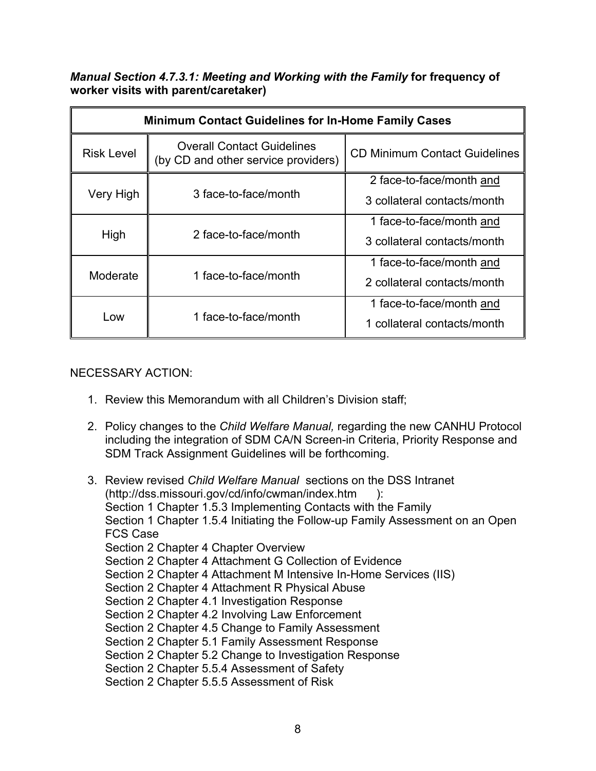# *[Manual Section 4.7.3.1](http://dss.missouri.gov/cd/info/cwman/sec4/ch7/4_7_3_1.shtml): Meeting and Working with the Family* **for frequency of worker visits with parent/caretaker)**

| <b>Minimum Contact Guidelines for In-Home Family Cases</b> |                                                                          |                                      |  |  |
|------------------------------------------------------------|--------------------------------------------------------------------------|--------------------------------------|--|--|
| <b>Risk Level</b>                                          | <b>Overall Contact Guidelines</b><br>(by CD and other service providers) | <b>CD Minimum Contact Guidelines</b> |  |  |
| Very High                                                  |                                                                          | 2 face-to-face/month and             |  |  |
|                                                            | 3 face-to-face/month                                                     | 3 collateral contacts/month          |  |  |
| High                                                       |                                                                          | 1 face-to-face/month and             |  |  |
|                                                            | 2 face-to-face/month                                                     | 3 collateral contacts/month          |  |  |
| Moderate                                                   |                                                                          | 1 face-to-face/month and             |  |  |
|                                                            | 1 face-to-face/month                                                     | 2 collateral contacts/month          |  |  |
| Low                                                        |                                                                          | 1 face-to-face/month and             |  |  |
|                                                            | 1 face-to-face/month                                                     | 1 collateral contacts/month          |  |  |

# NECESSARY ACTION:

- 1. Review this Memorandum with all Children's Division staff;
- 2. Policy changes to the *Child Welfare Manual,* regarding the new CANHU Protocol including the integration of SDM CA/N Screen-in Criteria, Priority Response and SDM Track Assignment Guidelines will be forthcoming.

3. Review revised *[Child Welfare Manual](http://dss.missouri.gov/cd/info/cwman/index.htm)* sections on the DSS Intranet ([http://dss.missouri.gov/cd/info](http://dss.missouri.gov/cd/info/cwman/index.htm)/cwman/index.htm ): [Section 1 Chapter 1.5.3 Implementing Contacts with the Family](http://dss.missouri.gov/cd/info/cwman/sec1/ch1/1_1_5_3.shtml) [Section 1 Chapter 1.5.4 Initiating the Follow-up Family Assessment on an Open](http://dss.missouri.gov/cd/info/cwman/sec1/ch1/1_1_5_4.shtml)  [FCS Case](http://dss.missouri.gov/cd/info/cwman/sec1/ch1/1_1_5_4.shtml) [Section 2 Chapter 4 Chapter Overview](http://dss.missouri.gov/cd/info/cwman/sec2/ch4/overview.shtml) [Section 2 Chapter 4 Attachment G Collection of Evidence](http://dss.missouri.gov/cd/info/cwman/sec2/ch4/2_4_g.shtml) [Section 2 Chapter 4 Attachment M Intensive In-Home Services \(IIS\)](http://dss.missouri.gov/cd/info/cwman/sec2/ch4/2_4_m.shtml) [Section 2 Chapter 4 Attachment R Physical Abuse](http://dss.missouri.gov/cd/info/cwman/sec2/ch4/2_4_r.shtml) [Section 2 Chapter 4.1 Investigation Response](http://dss.missouri.gov/cd/info/cwman/sec2/ch4/2_4_1.shtml) [Section 2 Chapter 4.2 Involving Law Enforcement](http://dss.missouri.gov/cd/info/cwman/sec2/ch4/2_4_2.shtml) [Section 2 Chapter 4.5 Change to Family Assessment](http://dss.missouri.gov/cd/info/cwman/sec2/ch4/2_4_5.shtml) [Section 2 Chapter 5.1 Family Assessment Response](http://dss.missouri.gov/cd/info/cwman/sec2/ch5/2_5_1.shtml) [Section 2 Chapter 5.2 Change to Investigation Response](http://dss.missouri.gov/cd/info/cwman/sec2/ch5/2_5_2.shtml) [Section 2 Chapter 5.5.4 Assessment of Safety](http://dss.missouri.gov/cd/info/cwman/sec2/ch5/2_5_5_4.shtml) [Section 2 Chapter 5.5.5 Assessment of Risk](http://dss.missouri.gov/cd/info/cwman/sec2/ch5/2_5_5_5.shtml)